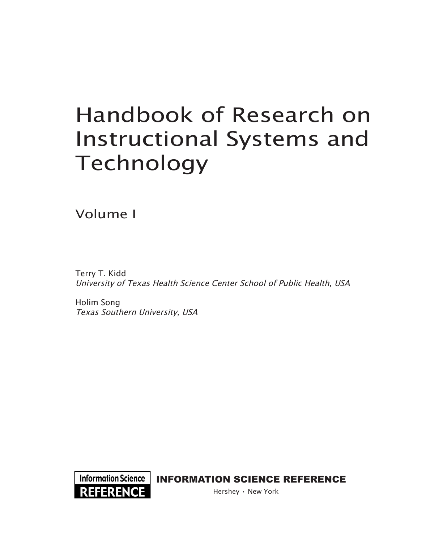# Handbook of Research on Instructional Systems and Technology

Volume I

Terry T. Kidd University of Texas Health Science Center School of Public Health, USA

Holim Song Texas Southern University, USA



Information Science | INFORMATION SCIENCE REFERENCE

Hershey • New York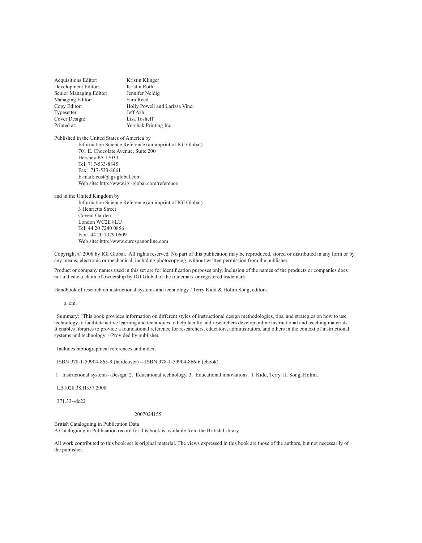Acquisitions Editor: Kristin Klinger Development Editor: Kristin Roth<br>Senior Managing Editor: Jennifer Neidig Senior Managing Editor: Managing Editor: Sara Reed Copy Editor: Holly Powell and Larissa Vinci<br>Typesetter: Jeff Ash Typesetter: Cover Design: Lisa Tosheff Yurchak Printing Inc.

Published in the United States of America by Information Science Reference (an imprint of IGI Global) 701 E. Chocolate Avenue, Suite 200 Hershey PA 17033 Tel: 717-533-8845 Fax: 717-533-8661 E-mail: cust@igi-global.com Web site: http://www.igi-global.com/reference

and in the United Kingdom by

Information Science Reference (an imprint of IGI Global) 3 Henrietta Street Covent Garden London WC2E 8LU Tel: 44 20 7240 0856 Fax: 44 20 7379 0609 Web site: http://www.eurospanonline.com

Copyright © 2008 by IGI Global. All rights reserved. No part of this publication may be reproduced, stored or distributed in any form or by any means, electronic or mechanical, including photocopying, without written permission from the publisher.

Product or company names used in this set are for identification purposes only. Inclusion of the names of the products or companies does not indicate a claim of ownership by IGI Global of the trademark or registered trademark.

Handbook of research on instructional systems and technology / Terry Kidd & Holim Song, editors.

p. cm.

 Summary: "This book provides information on different styles of instructional design methodologies, tips, and strategies on how to use technology to facilitate active learning and techniques to help faculty and researchers develop online instructional and teaching materials. It enables libraries to provide a foundational reference for researchers, educators, administrators, and others in the context of instructional systems and technology"--Provided by publisher.

Includes bibliographical references and index.

ISBN 978-1-59904-865-9 (hardcover) -- ISBN 978-1-59904-866-6 (ebook)

1. Instructional systems--Design. 2. Educational technology. 3. Educational innovations. I. Kidd, Terry. II. Song, Holim.

LB1028.38.H357 2008

371.33--dc22

#### 2007024155

British Cataloguing in Publication Data A Cataloguing in Publication record for this book is available from the British Library.

All work contributed to this book set is original material. The views expressed in this book are those of the authors, but not necessarily of the publisher.